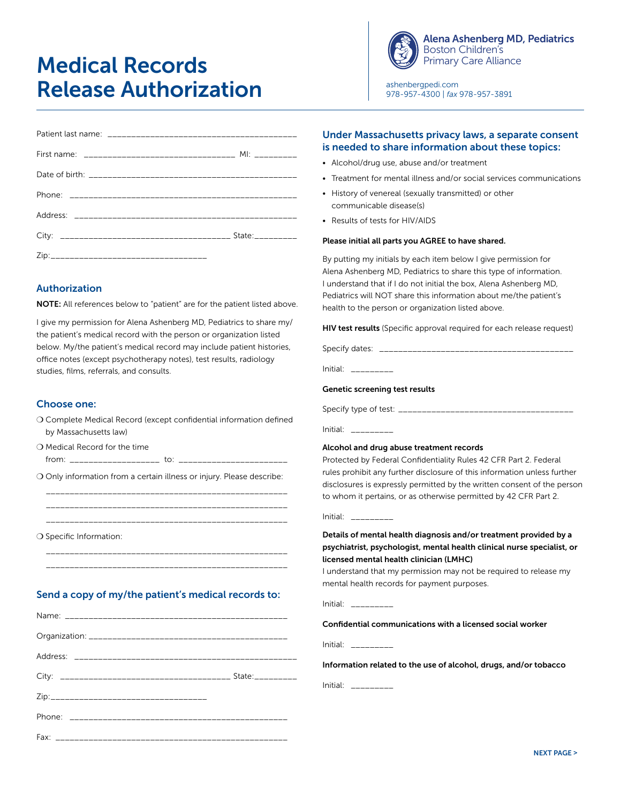# Medical Records Release Authorization



[Alena Ashenberg MD, Pediatrics](http://www.ashenbergpedi.com) Boston Children's Primary Care Alliance

[ashenbergpedi.com](http://www.ashenbergpedi.com) 978-957-4300 | *fax* 978-957-3891

# Authorization

NOTE: All references below to "patient" are for the patient listed above.

I give my permission for Alena Ashenberg MD, Pediatrics to share my/ the patient's medical record with the person or organization listed below. My/the patient's medical record may include patient histories, office notes (except psychotherapy notes), test results, radiology studies, films, referrals, and consults.

## Choose one:

❍ Complete Medical Record (except confidential information defined by Massachusetts law)

\_\_\_\_\_\_\_\_\_\_\_\_\_\_\_\_\_\_\_\_\_\_\_\_\_\_\_\_\_\_\_\_\_\_\_\_\_\_\_\_\_\_\_\_\_\_\_\_\_\_\_

\_\_\_\_\_\_\_\_\_\_\_\_\_\_\_\_\_\_\_\_\_\_\_\_\_\_\_\_\_\_\_\_\_\_\_\_\_\_\_\_\_\_\_\_\_\_\_\_\_\_\_

\_\_\_\_\_\_\_\_\_\_\_\_\_\_\_\_\_\_\_\_\_\_\_\_\_\_\_\_\_\_\_\_\_\_\_\_\_\_\_\_\_\_\_\_\_\_\_\_\_\_\_

❍ Medical Record for the time

O Only information from a certain illness or injury. Please describe:

from: \_\_\_\_\_\_\_\_\_\_\_\_\_\_\_\_\_\_\_ to: \_\_\_\_\_\_\_\_\_\_\_\_\_\_\_\_\_\_\_\_\_\_\_

\_\_\_\_\_\_\_\_\_\_\_\_\_\_\_\_\_\_\_\_\_\_\_\_\_\_\_\_\_\_\_\_\_\_\_\_\_\_\_\_\_\_\_\_\_\_\_\_\_\_\_

❍ Specific Information:

\_\_\_\_\_\_\_\_\_\_\_\_\_\_\_\_\_\_\_\_\_\_\_\_\_\_\_\_\_\_\_\_\_\_\_\_\_\_\_\_\_\_\_\_\_\_\_\_\_\_\_

## Send a copy of my/the patient's medical records to:

### Under Massachusetts privacy laws, a separate consent is needed to share information about these topics:

- Alcohol/drug use, abuse and/or treatment
- Treatment for mental illness and/or social services communications
- History of venereal (sexually transmitted) or other communicable disease(s)
- Results of tests for HIV/AIDS

#### Please initial all parts you AGREE to have shared.

By putting my initials by each item below I give permission for Alena Ashenberg MD, Pediatrics to share this type of information. I understand that if I do not initial the box, Alena Ashenberg MD, Pediatrics will NOT share this information about me/the patient's health to the person or organization listed above.

HIV test results (Specific approval required for each release request)

Specify dates: \_\_\_\_\_\_\_\_\_\_\_\_\_\_\_\_\_\_\_\_\_\_\_\_\_\_\_\_\_\_\_\_\_\_\_\_\_\_\_\_\_

Initial: \_\_\_\_\_\_\_\_\_

#### Genetic screening test results

Specify type of test: \_\_\_\_\_\_\_\_\_\_\_\_\_\_\_\_\_\_\_\_\_\_\_\_\_\_\_\_\_\_\_\_\_\_\_\_\_

Initial: \_\_\_\_\_\_\_\_\_

#### Alcohol and drug abuse treatment records

Protected by Federal Confidentiality Rules 42 CFR Part 2. Federal rules prohibit any further disclosure of this information unless further disclosures is expressly permitted by the written consent of the person to whom it pertains, or as otherwise permitted by 42 CFR Part 2.

 $Initial<sub>1</sub>$ 

Details of mental health diagnosis and/or treatment provided by a psychiatrist, psychologist, mental health clinical nurse specialist, or licensed mental health clinician (LMHC)

I understand that my permission may not be required to release my mental health records for payment purposes.

Initial: \_\_\_\_\_\_\_\_\_

Confidential communications with a licensed social worker

Initial: \_\_\_\_\_\_\_\_\_

Information related to the use of alcohol, drugs, and/or tobacco

Initial: \_\_\_\_\_\_\_\_\_